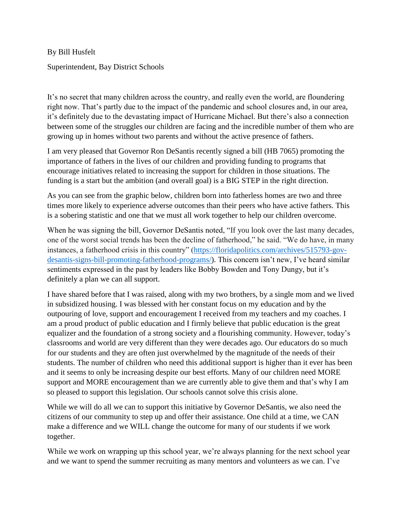By Bill Husfelt Superintendent, Bay District Schools

It's no secret that many children across the country, and really even the world, are floundering right now. That's partly due to the impact of the pandemic and school closures and, in our area, it's definitely due to the devastating impact of Hurricane Michael. But there's also a connection between some of the struggles our children are facing and the incredible number of them who are growing up in homes without two parents and without the active presence of fathers.

I am very pleased that Governor Ron DeSantis recently signed a bill (HB 7065) promoting the importance of fathers in the lives of our children and providing funding to programs that encourage initiatives related to increasing the support for children in those situations. The funding is a start but the ambition (and overall goal) is a BIG STEP in the right direction.

As you can see from the graphic below, children born into fatherless homes are two and three times more likely to experience adverse outcomes than their peers who have active fathers. This is a sobering statistic and one that we must all work together to help our children overcome.

When he was signing the bill, Governor DeSantis noted, "If you look over the last many decades, one of the worst social trends has been the decline of fatherhood," he said. "We do have, in many instances, a fatherhood crisis in this country" [\(https://floridapolitics.com/archives/515793-gov](https://floridapolitics.com/archives/515793-gov-desantis-signs-bill-promoting-fatherhood-programs/)[desantis-signs-bill-promoting-fatherhood-programs/\)](https://floridapolitics.com/archives/515793-gov-desantis-signs-bill-promoting-fatherhood-programs/). This concern isn't new, I've heard similar sentiments expressed in the past by leaders like Bobby Bowden and Tony Dungy, but it's definitely a plan we can all support.

I have shared before that I was raised, along with my two brothers, by a single mom and we lived in subsidized housing. I was blessed with her constant focus on my education and by the outpouring of love, support and encouragement I received from my teachers and my coaches. I am a proud product of public education and I firmly believe that public education is the great equalizer and the foundation of a strong society and a flourishing community. However, today's classrooms and world are very different than they were decades ago. Our educators do so much for our students and they are often just overwhelmed by the magnitude of the needs of their students. The number of children who need this additional support is higher than it ever has been and it seems to only be increasing despite our best efforts. Many of our children need MORE support and MORE encouragement than we are currently able to give them and that's why I am so pleased to support this legislation. Our schools cannot solve this crisis alone.

While we will do all we can to support this initiative by Governor DeSantis, we also need the citizens of our community to step up and offer their assistance. One child at a time, we CAN make a difference and we WILL change the outcome for many of our students if we work together.

While we work on wrapping up this school year, we're always planning for the next school year and we want to spend the summer recruiting as many mentors and volunteers as we can. I've